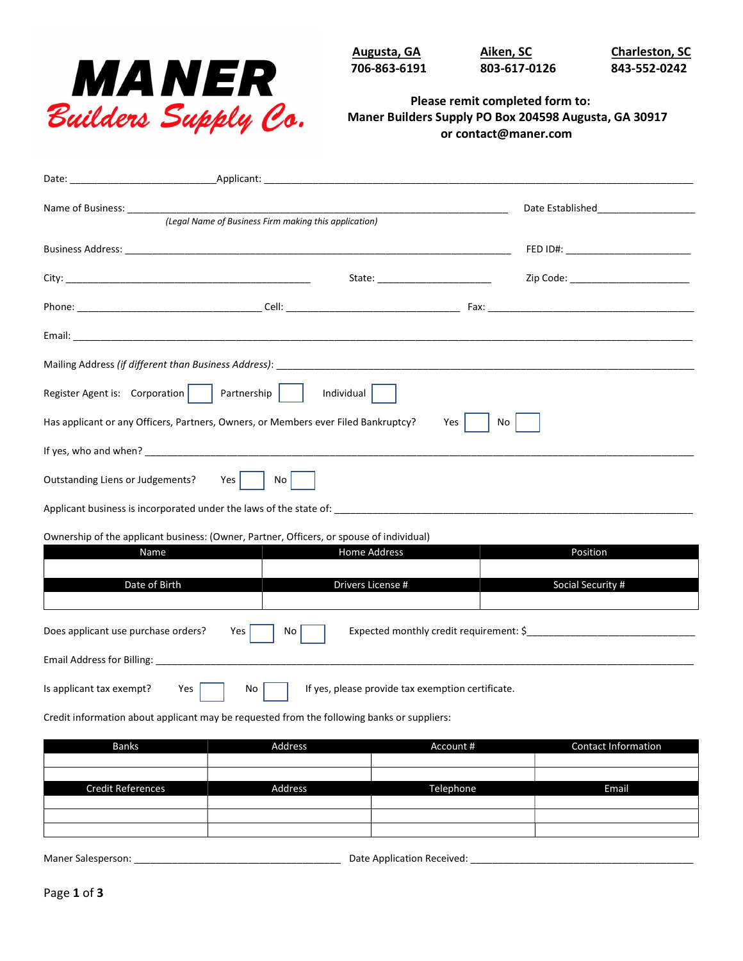

706-863-6191 803-617-0126 843-552-0242

Augusta, GA **Aiken, SC** Charleston, SC

## Please remit completed form to: Maner Builders Supply PO Box 204598 Augusta, GA 30917 or contact@maner.com

| Name of Business: ______                                                                        | (Legal Name of Business Firm making this application) | Date Established_____________________ |  |  |  |  |
|-------------------------------------------------------------------------------------------------|-------------------------------------------------------|---------------------------------------|--|--|--|--|
|                                                                                                 |                                                       |                                       |  |  |  |  |
|                                                                                                 |                                                       | State: ____________________________   |  |  |  |  |
|                                                                                                 |                                                       |                                       |  |  |  |  |
|                                                                                                 |                                                       |                                       |  |  |  |  |
|                                                                                                 |                                                       |                                       |  |  |  |  |
| Register Agent is: Corporation   Partnership    <br>Individual                                  |                                                       |                                       |  |  |  |  |
| Has applicant or any Officers, Partners, Owners, or Members ever Filed Bankruptcy?<br>Yes<br>No |                                                       |                                       |  |  |  |  |
|                                                                                                 |                                                       |                                       |  |  |  |  |
| Outstanding Liens or Judgements?<br>Yes  <br>No                                                 |                                                       |                                       |  |  |  |  |
|                                                                                                 |                                                       |                                       |  |  |  |  |
| Ownership of the applicant business: (Owner, Partner, Officers, or spouse of individual)        |                                                       |                                       |  |  |  |  |
|                                                                                                 | <b>Home Address</b><br>Name                           | Position                              |  |  |  |  |
|                                                                                                 | Date of Birth<br>Drivers License #                    | Social Security #                     |  |  |  |  |
| Expected monthly credit requirement: \$<br>Does applicant use purchase orders?<br>Yes<br>No     |                                                       |                                       |  |  |  |  |
| Email Address for Billing: _____                                                                |                                                       |                                       |  |  |  |  |
| If yes, please provide tax exemption certificate.<br>Is applicant tax exempt?<br>Yes<br>No      |                                                       |                                       |  |  |  |  |

Credit information about applicant may be requested from the following banks or suppliers:

| <b>Banks</b>             | Address | Account # | <b>Contact Information</b> |
|--------------------------|---------|-----------|----------------------------|
|                          |         |           |                            |
|                          |         |           |                            |
| <b>Credit References</b> | Address | Telephone | Email                      |
|                          |         |           |                            |
|                          |         |           |                            |
|                          |         |           |                            |
|                          |         |           |                            |

Maner Salesperson: \_\_\_\_\_\_\_\_\_\_\_\_\_\_\_\_\_\_\_\_\_\_\_\_\_\_\_\_\_\_\_\_\_\_\_\_\_\_ Date Application Received: \_\_\_\_\_\_\_\_\_\_\_\_\_\_\_\_\_\_\_\_\_\_\_\_\_\_\_\_\_\_\_\_\_\_\_\_\_\_\_\_\_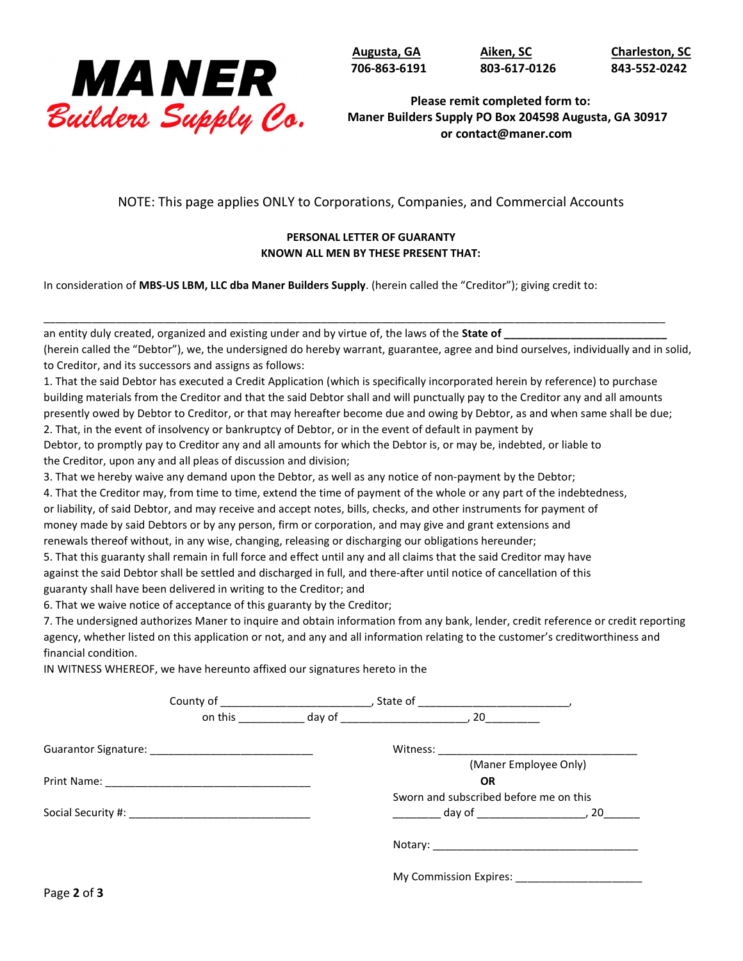

706-863-6191 803-617-0126 843-552-0242

Augusta, GA Aiken, SC Charleston, SC

Please remit completed form to: Maner Builders Supply PO Box 204598 Augusta, GA 30917 or contact@maner.com

NOTE: This page applies ONLY to Corporations, Companies, and Commercial Accounts

## PERSONAL LETTER OF GUARANTY KNOWN ALL MEN BY THESE PRESENT THAT:

In consideration of MBS-US LBM, LLC dba Maner Builders Supply. (herein called the "Creditor"); giving credit to:

an entity duly created, organized and existing under and by virtue of, the laws of the State of \_

(herein called the "Debtor"), we, the undersigned do hereby warrant, guarantee, agree and bind ourselves, individually and in solid, to Creditor, and its successors and assigns as follows:

1. That the said Debtor has executed a Credit Application (which is specifically incorporated herein by reference) to purchase building materials from the Creditor and that the said Debtor shall and will punctually pay to the Creditor any and all amounts presently owed by Debtor to Creditor, or that may hereafter become due and owing by Debtor, as and when same shall be due;

\_\_\_\_\_\_\_\_\_\_\_\_\_\_\_\_\_\_\_\_\_\_\_\_\_\_\_\_\_\_\_\_\_\_\_\_\_\_\_\_\_\_\_\_\_\_\_\_\_\_\_\_\_\_\_\_\_\_\_\_\_\_\_\_\_\_\_\_\_\_\_\_\_\_\_\_\_\_\_\_\_\_\_\_\_\_\_\_\_\_\_\_\_\_\_\_\_\_\_\_\_\_\_

2. That, in the event of insolvency or bankruptcy of Debtor, or in the event of default in payment by

Debtor, to promptly pay to Creditor any and all amounts for which the Debtor is, or may be, indebted, or liable to the Creditor, upon any and all pleas of discussion and division;

3. That we hereby waive any demand upon the Debtor, as well as any notice of non-payment by the Debtor;

4. That the Creditor may, from time to time, extend the time of payment of the whole or any part of the indebtedness, or liability, of said Debtor, and may receive and accept notes, bills, checks, and other instruments for payment of

money made by said Debtors or by any person, firm or corporation, and may give and grant extensions and renewals thereof without, in any wise, changing, releasing or discharging our obligations hereunder;

5. That this guaranty shall remain in full force and effect until any and all claims that the said Creditor may have against the said Debtor shall be settled and discharged in full, and there-after until notice of cancellation of this guaranty shall have been delivered in writing to the Creditor; and

6. That we waive notice of acceptance of this guaranty by the Creditor;

7. The undersigned authorizes Maner to inquire and obtain information from any bank, lender, credit reference or credit reporting agency, whether listed on this application or not, and any and all information relating to the customer's creditworthiness and financial condition.

IN WITNESS WHEREOF, we have hereunto affixed our signatures hereto in the

|             |  |           | (Maner Employee Only)                  |                                         |
|-------------|--|-----------|----------------------------------------|-----------------------------------------|
|             |  | <b>OR</b> |                                        |                                         |
|             |  |           | Sworn and subscribed before me on this |                                         |
|             |  |           |                                        | $\frac{1}{2}$ day of $\frac{1}{2}$ , 20 |
|             |  |           |                                        |                                         |
|             |  |           | My Commission Expires: _____________   |                                         |
| Page 2 of 3 |  |           |                                        |                                         |